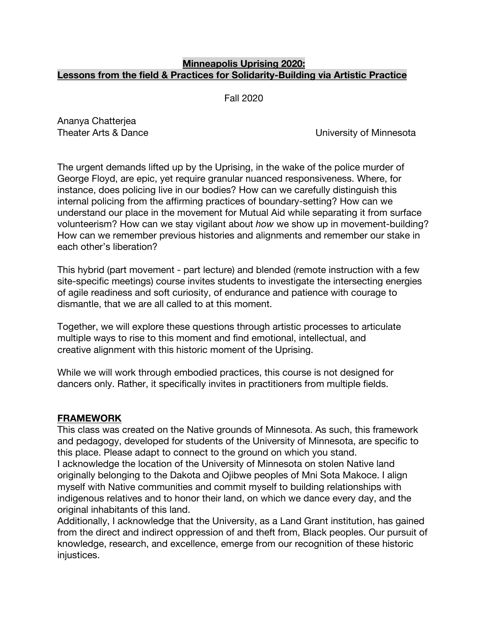### **Minneapolis Uprising 2020: Lessons from the field & Practices for Solidarity-Building via Artistic Practice**

Fall 2020

Ananya Chatterjea

Theater Arts & Dance **Theater Arts & Dance** University of Minnesota

The urgent demands lifted up by the Uprising, in the wake of the police murder of George Floyd, are epic, yet require granular nuanced responsiveness. Where, for instance, does policing live in our bodies? How can we carefully distinguish this internal policing from the affirming practices of boundary-setting? How can we understand our place in the movement for Mutual Aid while separating it from surface volunteerism? How can we stay vigilant about *how* we show up in movement-building? How can we remember previous histories and alignments and remember our stake in each other's liberation?

This hybrid (part movement - part lecture) and blended (remote instruction with a few site-specific meetings) course invites students to investigate the intersecting energies of agile readiness and soft curiosity, of endurance and patience with courage to dismantle, that we are all called to at this moment.

Together, we will explore these questions through artistic processes to articulate multiple ways to rise to this moment and find emotional, intellectual, and creative alignment with this historic moment of the Uprising.

While we will work through embodied practices, this course is not designed for dancers only. Rather, it specifically invites in practitioners from multiple fields.

## **FRAMEWORK**

This class was created on the Native grounds of Minnesota. As such, this framework and pedagogy, developed for students of the University of Minnesota, are specific to this place. Please adapt to connect to the ground on which you stand.

I acknowledge the location of the University of Minnesota on stolen Native land originally belonging to the Dakota and Ojibwe peoples of Mni Sota Makoce. I align myself with Native communities and commit myself to building relationships with indigenous relatives and to honor their land, on which we dance every day, and the original inhabitants of this land.

Additionally, I acknowledge that the University, as a Land Grant institution, has gained from the direct and indirect oppression of and theft from, Black peoples. Our pursuit of knowledge, research, and excellence, emerge from our recognition of these historic injustices.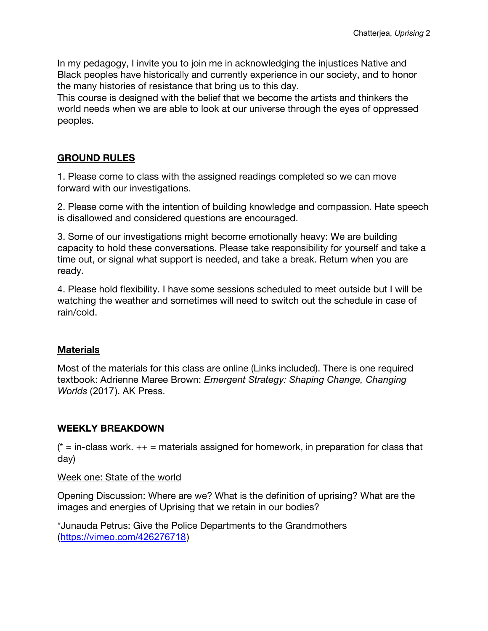In my pedagogy, I invite you to join me in acknowledging the injustices Native and Black peoples have historically and currently experience in our society, and to honor the many histories of resistance that bring us to this day.

This course is designed with the belief that we become the artists and thinkers the world needs when we are able to look at our universe through the eyes of oppressed peoples.

## **GROUND RULES**

1. Please come to class with the assigned readings completed so we can move forward with our investigations.

2. Please come with the intention of building knowledge and compassion. Hate speech is disallowed and considered questions are encouraged.

3. Some of our investigations might become emotionally heavy: We are building capacity to hold these conversations. Please take responsibility for yourself and take a time out, or signal what support is needed, and take a break. Return when you are ready.

4. Please hold flexibility. I have some sessions scheduled to meet outside but I will be watching the weather and sometimes will need to switch out the schedule in case of rain/cold.

### **Materials**

Most of the materials for this class are online (Links included). There is one required textbook: Adrienne Maree Brown: *Emergent Strategy: Shaping Change, Changing Worlds* (2017). AK Press.

## **WEEKLY BREAKDOWN**

 $*$  = in-class work.  $++$  = materials assigned for homework, in preparation for class that day)

### Week one: State of the world

Opening Discussion: Where are we? What is the definition of uprising? What are the images and energies of Uprising that we retain in our bodies?

\*Junauda Petrus: Give the Police Departments to the Grandmothers (https://vimeo.com/426276718)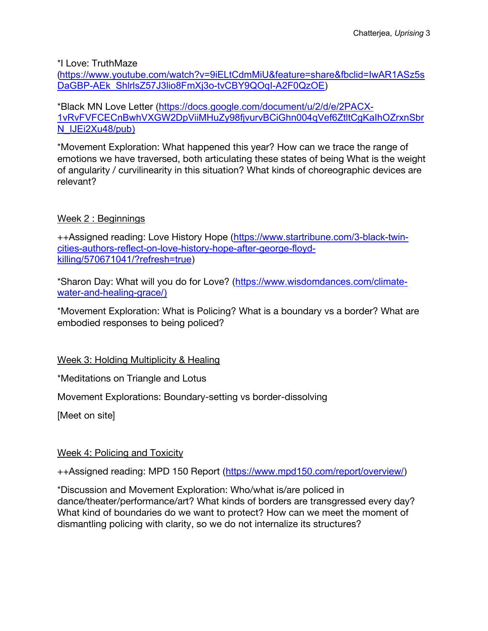\*I Love: TruthMaze

(https://www.youtube.com/watch?v=9iELtCdmMiU&feature=share&fbclid=IwAR1ASz5s DaGBP-AEk\_ShlrlsZ57J3lio8FmXj3o-tvCBY9QOqI-A2F0QzOE)

\*Black MN Love Letter (https://docs.google.com/document/u/2/d/e/2PACX-1vRvFVFCECnBwhVXGW2DpViiMHuZy98fjvurvBCiGhn004qVef6ZtltCgKaIhOZrxnSbr N\_IJEi2Xu48/pub)

\*Movement Exploration: What happened this year? How can we trace the range of emotions we have traversed, both articulating these states of being What is the weight of angularity / curvilinearity in this situation? What kinds of choreographic devices are relevant?

# Week 2 : Beginnings

++Assigned reading: Love History Hope (https://www.startribune.com/3-black-twincities-authors-reflect-on-love-history-hope-after-george-floydkilling/570671041/?refresh=true)

\*Sharon Day: What will you do for Love? (https://www.wisdomdances.com/climatewater-and-healing-grace/)

\*Movement Exploration: What is Policing? What is a boundary vs a border? What are embodied responses to being policed?

Week 3: Holding Multiplicity & Healing

\*Meditations on Triangle and Lotus

Movement Explorations: Boundary-setting vs border-dissolving

[Meet on site]

## Week 4: Policing and Toxicity

++Assigned reading: MPD 150 Report (https://www.mpd150.com/report/overview/)

\*Discussion and Movement Exploration: Who/what is/are policed in dance/theater/performance/art? What kinds of borders are transgressed every day? What kind of boundaries do we want to protect? How can we meet the moment of dismantling policing with clarity, so we do not internalize its structures?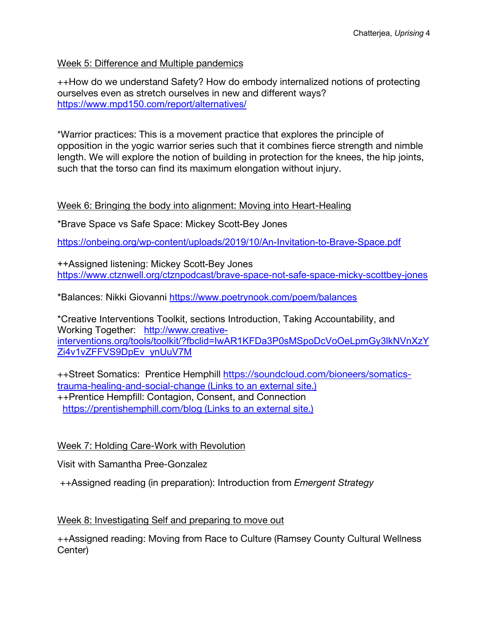### Week 5: Difference and Multiple pandemics

++How do we understand Safety? How do embody internalized notions of protecting ourselves even as stretch ourselves in new and different ways? https://www.mpd150.com/report/alternatives/

\*Warrior practices: This is a movement practice that explores the principle of opposition in the yogic warrior series such that it combines fierce strength and nimble length. We will explore the notion of building in protection for the knees, the hip joints, such that the torso can find its maximum elongation without injury.

### Week 6: Bringing the body into alignment: Moving into Heart-Healing

\*Brave Space vs Safe Space: Mickey Scott-Bey Jones

https://onbeing.org/wp-content/uploads/2019/10/An-Invitation-to-Brave-Space.pdf

++Assigned listening: Mickey Scott-Bey Jones https://www.ctznwell.org/ctznpodcast/brave-space-not-safe-space-micky-scottbey-jones

\*Balances: Nikki Giovanni https://www.poetrynook.com/poem/balances

\*Creative Interventions Toolkit, sections Introduction, Taking Accountability, and Working Together: http://www.creativeinterventions.org/tools/toolkit/?fbclid=IwAR1KFDa3P0sMSpoDcVoOeLpmGy3lkNVnXzY Zi4v1vZFFVS9DpEv\_ynUuV7M

++Street Somatics: Prentice Hemphill https://soundcloud.com/bioneers/somaticstrauma-healing-and-social-change (Links to an external site.) ++Prentice Hempfill: Contagion, Consent, and Connection https://prentishemphill.com/blog (Links to an external site.)

## Week 7: Holding Care-Work with Revolution

Visit with Samantha Pree-Gonzalez

++Assigned reading (in preparation): Introduction from *Emergent Strategy*

### Week 8: Investigating Self and preparing to move out

++Assigned reading: Moving from Race to Culture (Ramsey County Cultural Wellness Center)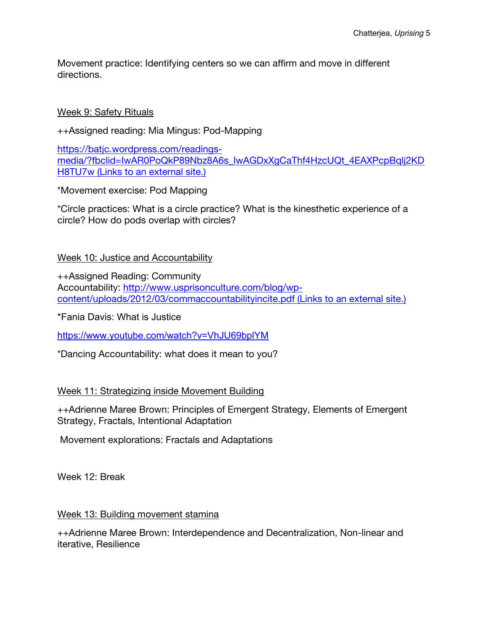Movement practice: Identifying centers so we can affirm and move in different directions.

### Week 9: Safety Rituals

++Assigned reading: Mia Mingus: Pod-Mapping

https://batjc.wordpress.com/readingsmedia/?fbclid=IwAR0PoQkP89Nbz8A6s\_IwAGDxXgCaThf4HzcUQt\_4EAXPcpBqlj2KD H8TU7w (Links to an external site.)

\*Movement exercise: Pod Mapping

\*Circle practices: What is a circle practice? What is the kinesthetic experience of a circle? How do pods overlap with circles?

## Week 10: Justice and Accountability

++Assigned Reading: Community Accountability: http://www.usprisonculture.com/blog/wpcontent/uploads/2012/03/commaccountabilityincite.pdf (Links to an external site.)

\*Fania Davis: What is Justice

https://www.youtube.com/watch?v=VhJU69bplYM

\*Dancing Accountability: what does it mean to you?

## Week 11: Strategizing inside Movement Building

++Adrienne Maree Brown: Principles of Emergent Strategy, Elements of Emergent Strategy, Fractals, Intentional Adaptation

Movement explorations: Fractals and Adaptations

Week 12: Break

## Week 13: Building movement stamina

++Adrienne Maree Brown: Interdependence and Decentralization, Non-linear and iterative, Resilience